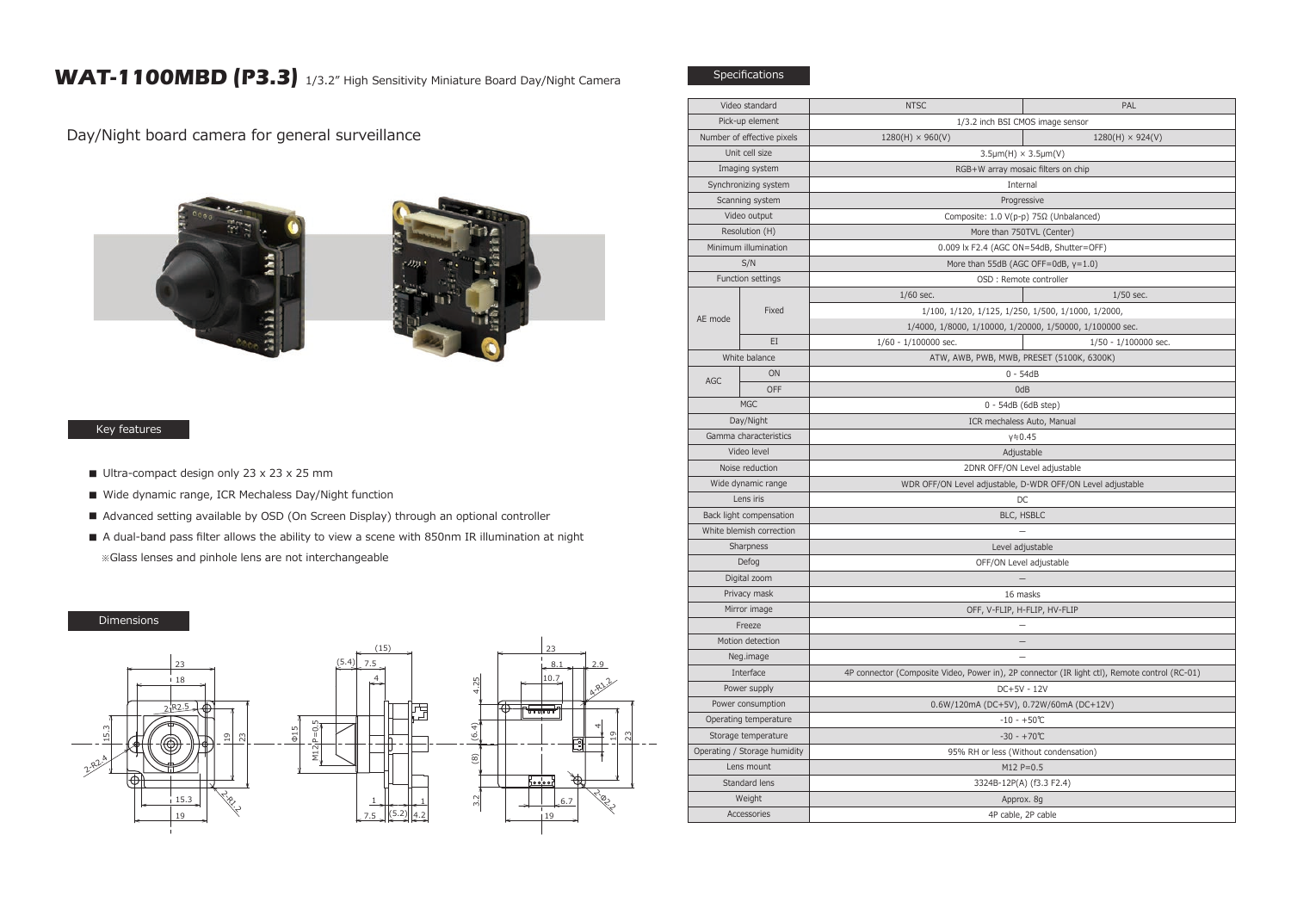## WAT-1100MBD (P3.3) 1/3.2" High Sensitivity Miniature Board Day/Night Camera

Day/Night board camera for general surveillance



## Key features

- Ultra-compact design only 23 x 23 x 25 mm
- Wide dynamic range, ICR Mechaless Day/Night function
- Advanced setting available by OSD (On Screen Display) through an optional controller
- A dual-band pass filter allows the ability to view a scene with 850nm IR illumination at night ※Glass lenses and pinhole lens are not interchangeable

## Dimensions



| Video standard                  |       | <b>NTSC</b>                                                                                                    | PAL                              |  |
|---------------------------------|-------|----------------------------------------------------------------------------------------------------------------|----------------------------------|--|
| Pick-up element                 |       |                                                                                                                | 1/3.2 inch BSI CMOS image sensor |  |
| Number of effective pixels      |       | $1280(H) \times 960(V)$                                                                                        | $1280(H) \times 924(V)$          |  |
| Unit cell size                  |       | $3.5 \mu m(H) \times 3.5 \mu m(V)$                                                                             |                                  |  |
| Imaging system                  |       | RGB+W array mosaic filters on chip                                                                             |                                  |  |
| Synchronizing system            |       | Internal                                                                                                       |                                  |  |
| Scanning system                 |       | Progressive                                                                                                    |                                  |  |
| Video output                    |       | Composite: 1.0 V(p-p) 75Ω (Unbalanced)                                                                         |                                  |  |
| Resolution (H)                  |       | More than 750TVL (Center)                                                                                      |                                  |  |
| Minimum illumination            |       | 0.009 lx F2.4 (AGC ON=54dB, Shutter=OFF)                                                                       |                                  |  |
| S/N                             |       | More than 55dB (AGC OFF=0dB, y=1.0)<br>OSD : Remote controller                                                 |                                  |  |
| Function settings               |       |                                                                                                                |                                  |  |
| AE mode                         | Fixed | $1/60$ sec.                                                                                                    | $1/50$ sec.                      |  |
|                                 |       | 1/100, 1/120, 1/125, 1/250, 1/500, 1/1000, 1/2000,<br>1/4000, 1/8000, 1/10000, 1/20000, 1/50000, 1/100000 sec. |                                  |  |
|                                 |       |                                                                                                                |                                  |  |
|                                 | EI    | 1/60 - 1/100000 sec.                                                                                           | 1/50 - 1/100000 sec.             |  |
| White balance                   |       | ATW, AWB, PWB, MWB, PRESET (5100K, 6300K)                                                                      |                                  |  |
| AGC                             | ON    | $0 - 54dB$                                                                                                     |                                  |  |
| OFF                             |       | 0dB                                                                                                            |                                  |  |
| <b>MGC</b>                      |       | 0 - 54dB (6dB step)                                                                                            |                                  |  |
| Day/Night                       |       | ICR mechaless Auto, Manual                                                                                     |                                  |  |
| Gamma characteristics           |       | $y = 0.45$                                                                                                     |                                  |  |
| Video level                     |       | Adjustable                                                                                                     |                                  |  |
| Noise reduction                 |       | 2DNR OFF/ON Level adjustable                                                                                   |                                  |  |
| Wide dynamic range<br>Lens iris |       | WDR OFF/ON Level adjustable, D-WDR OFF/ON Level adjustable                                                     |                                  |  |
| Back light compensation         |       | DC                                                                                                             |                                  |  |
| White blemish correction        |       | BLC, HSBLC                                                                                                     |                                  |  |
| Sharpness                       |       |                                                                                                                |                                  |  |
| Defog                           |       | Level adjustable<br>OFF/ON Level adjustable                                                                    |                                  |  |
| Digital zoom                    |       |                                                                                                                |                                  |  |
| Privacy mask                    |       | 16 masks                                                                                                       |                                  |  |
| Mirror image                    |       | OFF, V-FLIP, H-FLIP, HV-FLIP                                                                                   |                                  |  |
| Freeze                          |       |                                                                                                                |                                  |  |
| Motion detection                |       | $\qquad \qquad -$                                                                                              |                                  |  |
| Neg.image                       |       |                                                                                                                |                                  |  |
| Interface                       |       | 4P connector (Composite Video, Power in), 2P connector (IR light ctl), Remote control (RC-01)                  |                                  |  |
| Power supply                    |       | DC+5V - 12V                                                                                                    |                                  |  |
| Power consumption               |       | 0.6W/120mA (DC+5V), 0.72W/60mA (DC+12V)                                                                        |                                  |  |
| Operating temperature           |       | $-10 - +50$ °C                                                                                                 |                                  |  |
| Storage temperature             |       | $-30 - +70$ °C                                                                                                 |                                  |  |
| Operating / Storage humidity    |       | 95% RH or less (Without condensation)                                                                          |                                  |  |
| Lens mount                      |       | $M12 P = 0.5$                                                                                                  |                                  |  |
| Standard lens                   |       | 3324B-12P(A) (f3.3 F2.4)                                                                                       |                                  |  |
| Weight                          |       | Approx. 8g                                                                                                     |                                  |  |
| Accessories                     |       | 4P cable, 2P cable                                                                                             |                                  |  |
|                                 |       |                                                                                                                |                                  |  |

Specifications